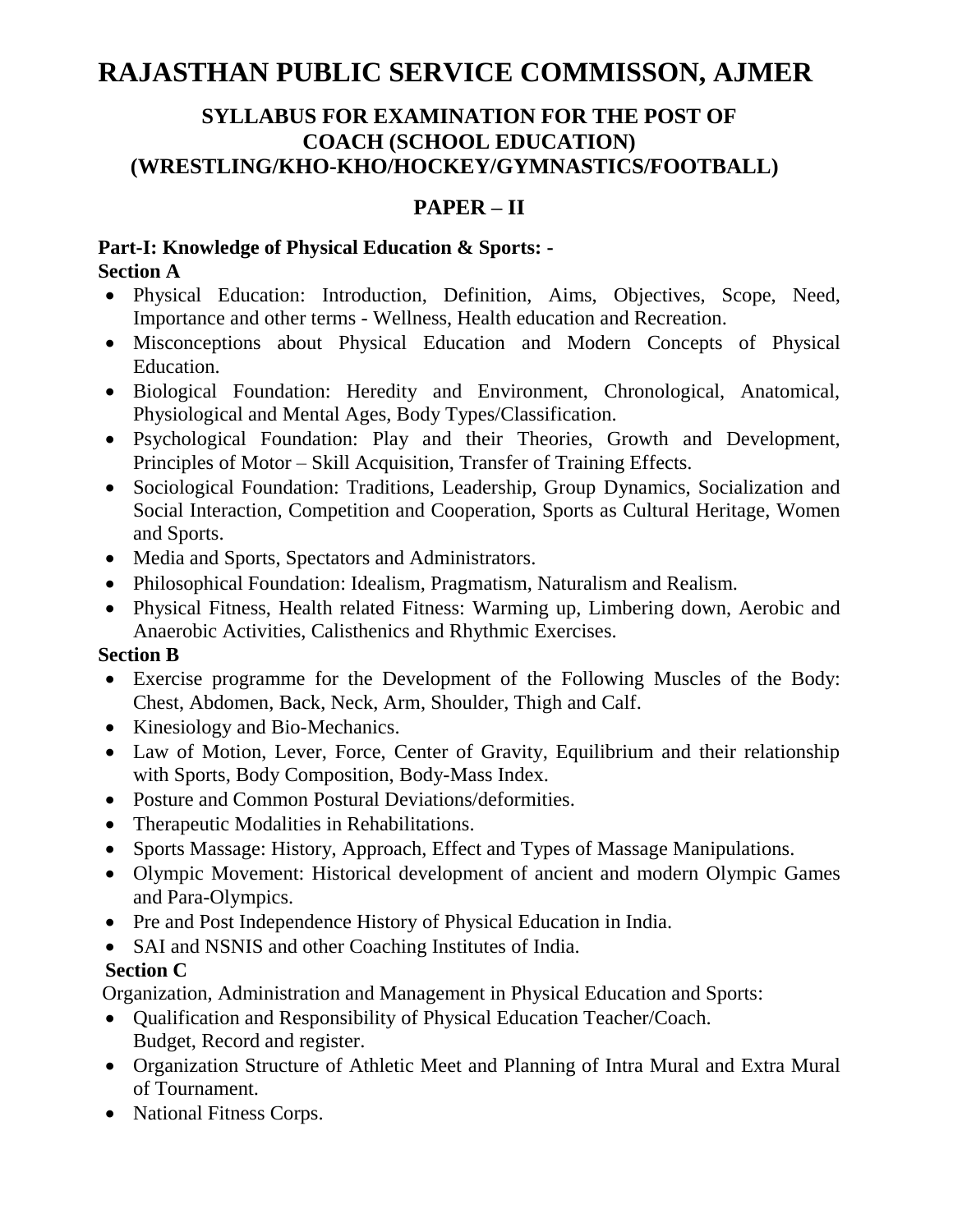# **RAJASTHAN PUBLIC SERVICE COMMISSON, AJMER**

#### **SYLLABUS FOR EXAMINATION FOR THE POST OF COACH (SCHOOL EDUCATION) (WRESTLING/KHO-KHO/HOCKEY/GYMNASTICS/FOOTBALL)**

### **PAPER – II**

#### **Part-I: Knowledge of Physical Education & Sports: - Section A**

- Physical Education: Introduction, Definition, Aims, Objectives, Scope, Need, Importance and other terms - Wellness, Health education and Recreation.
- Misconceptions about Physical Education and Modern Concepts of Physical Education.
- Biological Foundation: Heredity and Environment, Chronological, Anatomical, Physiological and Mental Ages, Body Types/Classification.
- Psychological Foundation: Play and their Theories, Growth and Development, Principles of Motor – Skill Acquisition, Transfer of Training Effects.
- Sociological Foundation: Traditions, Leadership, Group Dynamics, Socialization and Social Interaction, Competition and Cooperation, Sports as Cultural Heritage, Women and Sports.
- Media and Sports, Spectators and Administrators.
- Philosophical Foundation: Idealism, Pragmatism, Naturalism and Realism.
- Physical Fitness, Health related Fitness: Warming up, Limbering down, Aerobic and Anaerobic Activities, Calisthenics and Rhythmic Exercises.

#### **Section B**

- Exercise programme for the Development of the Following Muscles of the Body: Chest, Abdomen, Back, Neck, Arm, Shoulder, Thigh and Calf.
- Kinesiology and Bio-Mechanics.
- Law of Motion, Lever, Force, Center of Gravity, Equilibrium and their relationship with Sports, Body Composition, Body-Mass Index.
- Posture and Common Postural Deviations/deformities.
- Therapeutic Modalities in Rehabilitations.
- Sports Massage: History, Approach, Effect and Types of Massage Manipulations.
- Olympic Movement: Historical development of ancient and modern Olympic Games and Para-Olympics.
- Pre and Post Independence History of Physical Education in India.
- SAI and NSNIS and other Coaching Institutes of India.

## **Section C**

Organization, Administration and Management in Physical Education and Sports:

- Qualification and Responsibility of Physical Education Teacher/Coach. Budget, Record and register.
- Organization Structure of Athletic Meet and Planning of Intra Mural and Extra Mural of Tournament.
- National Fitness Corps.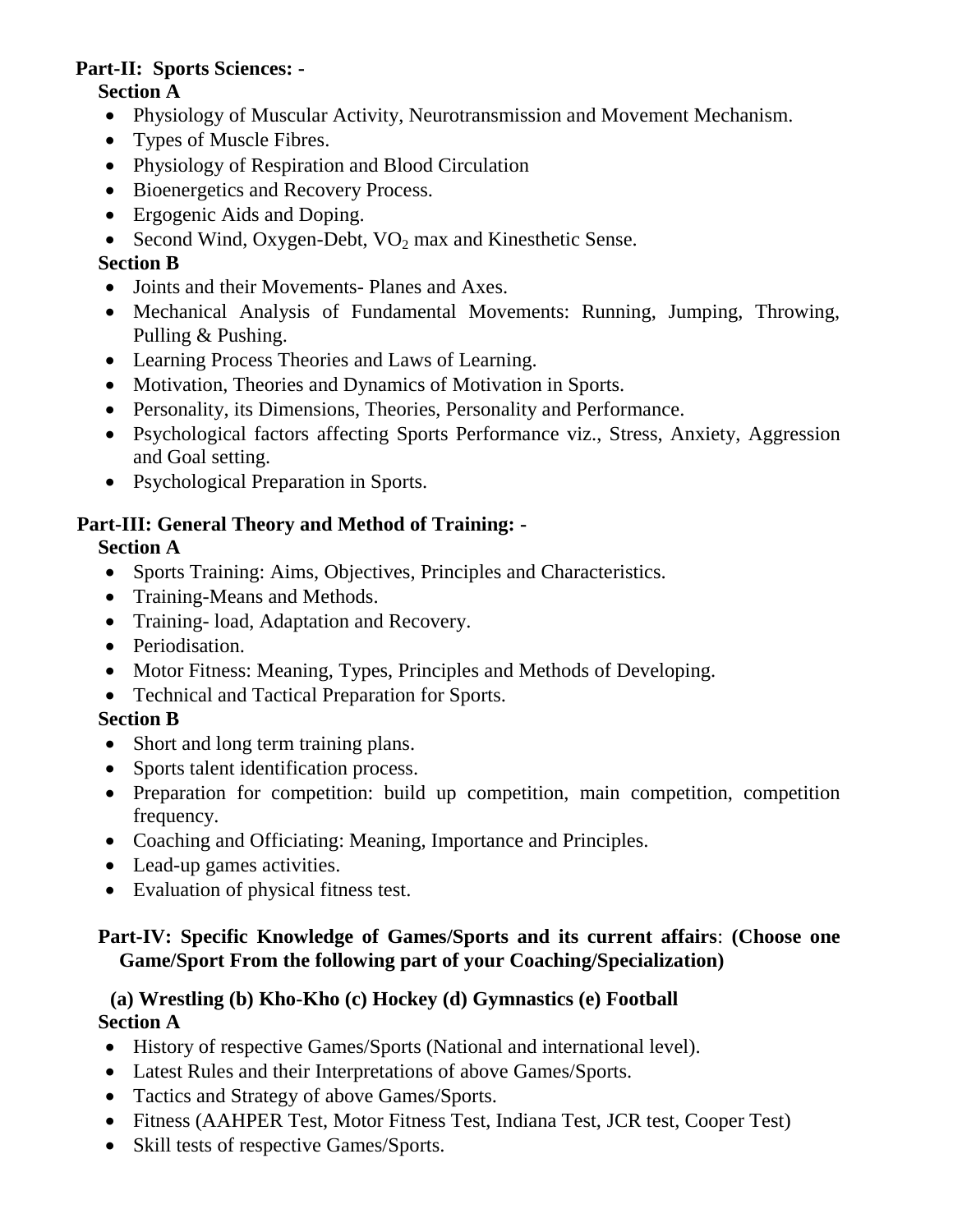# **Part-II: Sports Sciences: -**

#### **Section A**

- Physiology of Muscular Activity, Neurotransmission and Movement Mechanism.
- Types of Muscle Fibres.
- Physiology of Respiration and Blood Circulation
- Bioenergetics and Recovery Process.
- Ergogenic Aids and Doping.
- Second Wind, Oxygen-Debt,  $VO<sub>2</sub>$  max and Kinesthetic Sense.

### **Section B**

- Joints and their Movements- Planes and Axes.
- Mechanical Analysis of Fundamental Movements: Running, Jumping, Throwing, Pulling & Pushing.
- Learning Process Theories and Laws of Learning.
- Motivation, Theories and Dynamics of Motivation in Sports.
- Personality, its Dimensions, Theories, Personality and Performance.
- Psychological factors affecting Sports Performance viz., Stress, Anxiety, Aggression and Goal setting.
- Psychological Preparation in Sports.

## **Part-III: General Theory and Method of Training: -**

### **Section A**

- Sports Training: Aims, Objectives, Principles and Characteristics.
- Training-Means and Methods.
- Training- load, Adaptation and Recovery.
- Periodisation.
- Motor Fitness: Meaning, Types, Principles and Methods of Developing.
- Technical and Tactical Preparation for Sports.

#### **Section B**

- Short and long term training plans.
- Sports talent identification process.
- Preparation for competition: build up competition, main competition, competition frequency.
- Coaching and Officiating: Meaning, Importance and Principles.
- Lead-up games activities.
- Evaluation of physical fitness test.

### **Part-IV: Specific Knowledge of Games/Sports and its current affairs**: **(Choose one Game/Sport From the following part of your Coaching/Specialization)**

#### **(a) Wrestling (b) Kho-Kho (c) Hockey (d) Gymnastics (e) Football Section A**

- History of respective Games/Sports (National and international level).
- Latest Rules and their Interpretations of above Games/Sports.
- Tactics and Strategy of above Games/Sports.
- Fitness (AAHPER Test, Motor Fitness Test, Indiana Test, JCR test, Cooper Test)
- Skill tests of respective Games/Sports.